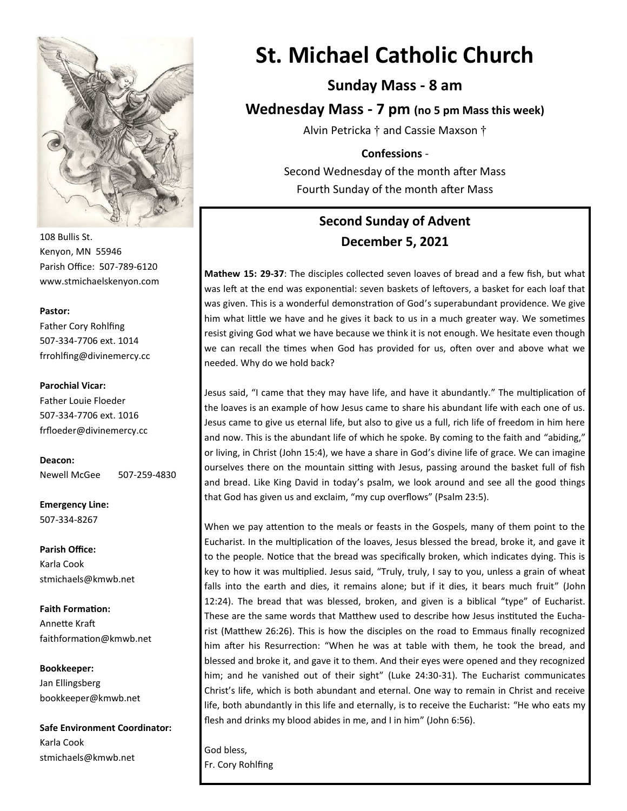

108 Bullis St. Kenyon, MN 55946 Parish Office: 507-789-6120 www.stmichaelskenyon.com

#### **Pastor:**

Father Cory Rohlfing 507-334-7706 ext. 1014 frrohlfing@divinemercy.cc

#### **Parochial Vicar:**

Father Louie Floeder 507-334-7706 ext. 1016 frfloeder@divinemercy.cc

**Deacon:**  Newell McGee 507-259-4830

**Emergency Line:** 507-334-8267

**Parish Office:**  Karla Cook stmichaels@kmwb.net

**Faith Formation:**  Annette Kraft faithformation@kmwb.net

**Bookkeeper:**  Jan Ellingsberg bookkeeper@kmwb.net

**Safe Environment Coordinator:** Karla Cook stmichaels@kmwb.net

# **St. Michael Catholic Church**

## **Sunday Mass - 8 am**

**Wednesday Mass - 7 pm (no 5 pm Mass this week)**

Alvin Petricka † and Cassie Maxson †

#### **Confessions** -

Second Wednesday of the month after Mass Fourth Sunday of the month after Mass

# **Second Sunday of Advent December 5, 2021**

**Mathew 15: 29-37**: The disciples collected seven loaves of bread and a few fish, but what was left at the end was exponential: seven baskets of leftovers, a basket for each loaf that was given. This is a wonderful demonstration of God's superabundant providence. We give him what little we have and he gives it back to us in a much greater way. We sometimes resist giving God what we have because we think it is not enough. We hesitate even though we can recall the times when God has provided for us, often over and above what we needed. Why do we hold back?

Jesus said, "I came that they may have life, and have it abundantly." The multiplication of the loaves is an example of how Jesus came to share his abundant life with each one of us. Jesus came to give us eternal life, but also to give us a full, rich life of freedom in him here and now. This is the abundant life of which he spoke. By coming to the faith and "abiding," or living, in Christ (John 15:4), we have a share in God's divine life of grace. We can imagine ourselves there on the mountain sitting with Jesus, passing around the basket full of fish and bread. Like King David in today's psalm, we look around and see all the good things that God has given us and exclaim, "my cup overflows" (Psalm 23:5).

When we pay attention to the meals or feasts in the Gospels, many of them point to the Eucharist. In the multiplication of the loaves, Jesus blessed the bread, broke it, and gave it to the people. Notice that the bread was specifically broken, which indicates dying. This is key to how it was multiplied. Jesus said, "Truly, truly, I say to you, unless a grain of wheat falls into the earth and dies, it remains alone; but if it dies, it bears much fruit" (John 12:24). The bread that was blessed, broken, and given is a biblical "type" of Eucharist. These are the same words that Matthew used to describe how Jesus instituted the Eucharist (Matthew 26:26). This is how the disciples on the road to Emmaus finally recognized him after his Resurrection: "When he was at table with them, he took the bread, and blessed and broke it, and gave it to them. And their eyes were opened and they recognized him; and he vanished out of their sight" (Luke 24:30-31). The Eucharist communicates Christ's life, which is both abundant and eternal. One way to remain in Christ and receive life, both abundantly in this life and eternally, is to receive the Eucharist: "He who eats my flesh and drinks my blood abides in me, and I in him" (John 6:56).

God bless, Fr. Cory Rohlfing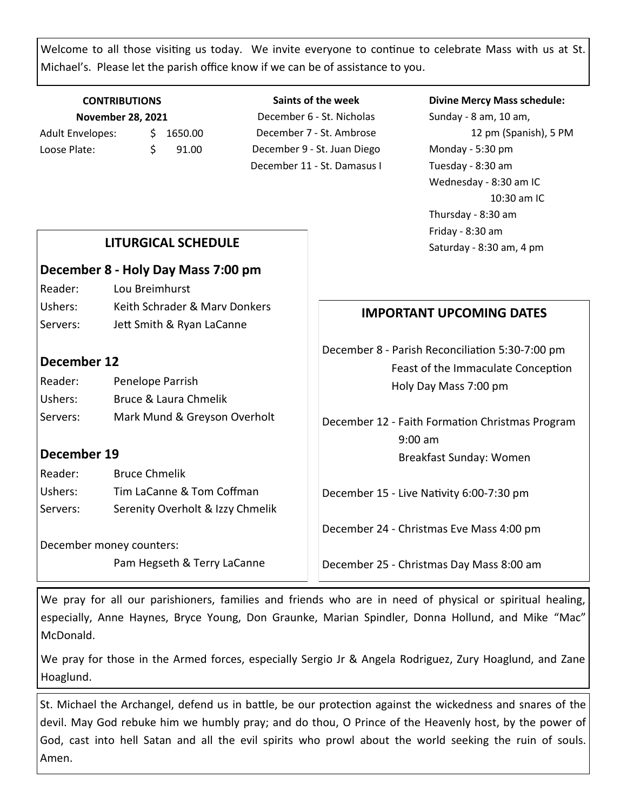Welcome to all those visiting us today. We invite everyone to continue to celebrate Mass with us at St. Michael's. Please let the parish office know if we can be of assistance to you.

#### **CONTRIBUTIONS November 28, 2021** Adult Envelopes:  $\frac{1}{2}$  1650.00 Loose Plate: \$ 91.00

**Saints of the week** December 6 - St. Nicholas December 7 - St. Ambrose December 9 - St. Juan Diego December 11 - St. Damasus I

#### **Divine Mercy Mass schedule:**

Sunday - 8 am, 10 am, 12 pm (Spanish), 5 PM Monday - 5:30 pm Tuesday - 8:30 am Wednesday - 8:30 am IC 10:30 am IC Thursday - 8:30 am Friday - 8:30 am Saturday - 8:30 am, 4 pm

## **LITURGICAL SCHEDULE**

#### **December 8 - Holy Day Mass 7:00 pm**

Reader: Lou Breimhurst Ushers: Keith Schrader & Mary Donkers Servers: Jett Smith & Ryan LaCanne

## **December 12**

| Reader:  | Penelope Parrish             |
|----------|------------------------------|
| Ushers:  | Bruce & Laura Chmelik        |
| Servers: | Mark Mund & Greyson Overholt |

## **December 19**

Reader: Bruce Chmelik Ushers: Tim LaCanne & Tom Coffman Servers: Serenity Overholt & Izzy Chmelik

December money counters:

Pam Hegseth & Terry LaCanne

# **IMPORTANT UPCOMING DATES**

December 8 - Parish Reconciliation 5:30-7:00 pm Feast of the Immaculate Conception Holy Day Mass 7:00 pm

December 12 - Faith Formation Christmas Program 9:00 am Breakfast Sunday: Women

December 15 - Live Nativity 6:00-7:30 pm

December 24 - Christmas Eve Mass 4:00 pm

December 25 - Christmas Day Mass 8:00 am

We pray for all our parishioners, families and friends who are in need of physical or spiritual healing, especially, Anne Haynes, Bryce Young, Don Graunke, Marian Spindler, Donna Hollund, and Mike "Mac" McDonald.

We pray for those in the Armed forces, especially Sergio Jr & Angela Rodriguez, Zury Hoaglund, and Zane Hoaglund.

St. Michael the Archangel, defend us in battle, be our protection against the wickedness and snares of the devil. May God rebuke him we humbly pray; and do thou, O Prince of the Heavenly host, by the power of God, cast into hell Satan and all the evil spirits who prowl about the world seeking the ruin of souls. Amen.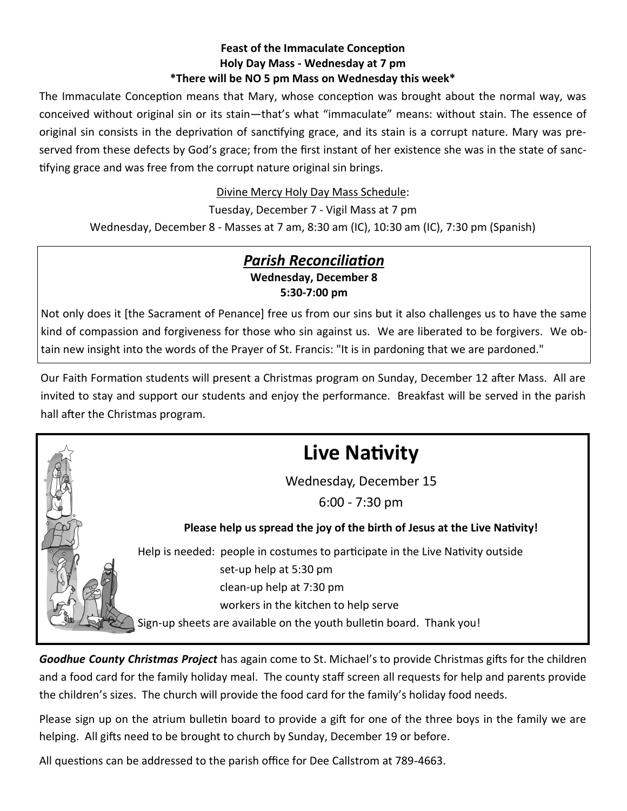#### **Feast of the Immaculate Conception Holy Day Mass - Wednesday at 7 pm \*There will be NO 5 pm Mass on Wednesday this week\***

The Immaculate Conception means that Mary, whose conception was brought about the normal way, was conceived without original sin or its stain—that's what "immaculate" means: without stain. The essence of original sin consists in the deprivation of sanctifying grace, and its stain is a corrupt nature. Mary was preserved from these defects by God's grace; from the first instant of her existence she was in the state of sanctifying grace and was free from the corrupt nature original sin brings.

Divine Mercy Holy Day Mass Schedule:

Tuesday, December 7 - Vigil Mass at 7 pm

Wednesday, December 8 - Masses at 7 am, 8:30 am (IC), 10:30 am (IC), 7:30 pm (Spanish)

# *Parish Reconciliation* **Wednesday, December 8 5:30-7:00 pm**

Not only does it [the Sacrament of Penance] free us from our sins but it also challenges us to have the same kind of compassion and forgiveness for those who sin against us. We are liberated to be forgivers. We obtain new insight into the words of the Prayer of St. Francis: "It is in pardoning that we are pardoned."

Our Faith Formation students will present a Christmas program on Sunday, December 12 after Mass. All are invited to stay and support our students and enjoy the performance. Breakfast will be served in the parish hall after the Christmas program.



*Goodhue County Christmas Project* has again come to St. Michael's to provide Christmas gifts for the children and a food card for the family holiday meal. The county staff screen all requests for help and parents provide the children's sizes. The church will provide the food card for the family's holiday food needs.

Please sign up on the atrium bulletin board to provide a gift for one of the three boys in the family we are helping. All gifts need to be brought to church by Sunday, December 19 or before.

All questions can be addressed to the parish office for Dee Callstrom at 789-4663.